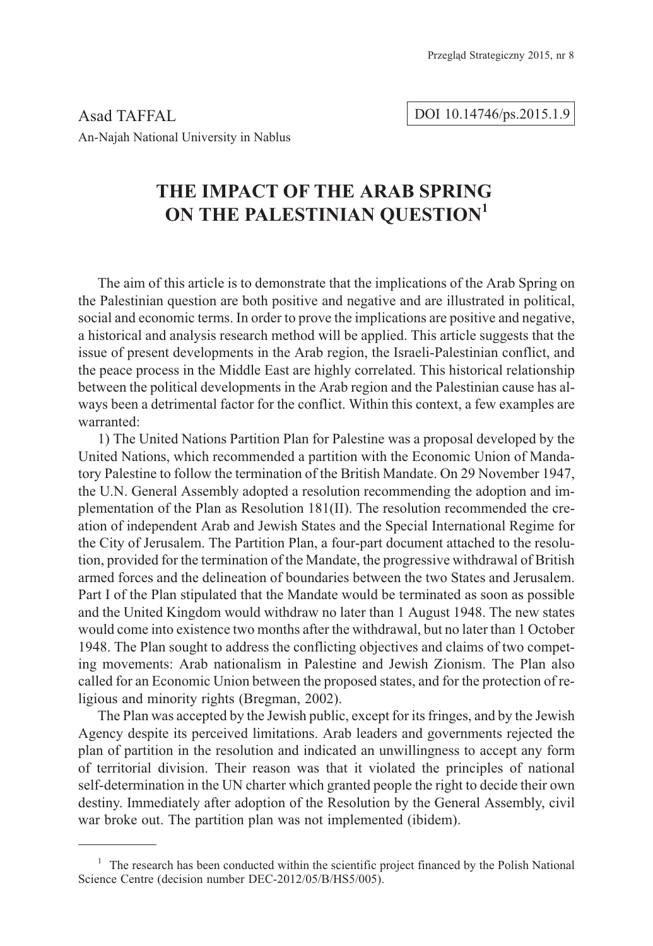Asad TAFFAL An-Najah National University in Nablus

### DOI 10.14746/ps.2015.1.9

## THE IMPACT OF THE ARAB SPRING **THE IMPACT OF THE IMPACT OF THE IMPACT OF THE IMPACT OF THE IMPACT OF THE IMPACT OF THE IMPACT OF THE IMPACT OF THE IMPACT OF THE IMPACT OF THE IMPACT OF THE IMPACT OF THE IMPACT OF THE IMPACT OF THE IMPACT OF THE IMPACT ON THE PALESTINIAN QUESTION<sup>1</sup>**

The aim of this article is to demonstrate that the implications of the Arab Spring on the Palestinian question are both positive and negative and are illustrated in political, social and economic terms. In order to prove the implications are positive and negative, a historical and analysis research method will be applied. This article suggests that the issue of present developments in the Arab region, the Israeli-Palestinian conflict, and the peace process in the Middle East are highly correlated. This historical relationship between the political developments in the Arab region and the Palestinian cause has always been a detrimental factor for the conflict. Within this context, a few examples are warranted:

1) The United Nations Partition Plan for Palestine was a proposal developed by the United Nations, which recommended a partition with the Economic Union of Mandatory Palestine to follow the termination of the British Mandate. On 29 November 1947, the U.N. General Assembly adopted a resolution recommending the adoption and implementation of the Plan as Resolution 181(II). The resolution recommended the creation of independent Arab and Jewish States and the Special International Regime for the City of Jerusalem. The Partition Plan, a four-part document attached to the resolution, provided for the termination of the Mandate, the progressive withdrawal of British armed forces and the delineation of boundaries between the two States and Jerusalem. Part I of the Plan stipulated that the Mandate would be terminated as soon as possible and the United Kingdom would withdraw no later than 1 August 1948. The new states would come into existence two months after the withdrawal, but no later than 1 October 1948. The Plan sought to address the conflicting objectives and claims of two competing movements: Arab nationalism in Palestine and Jewish Zionism. The Plan also called for an Economic Union between the proposed states, and for the protection of religious and minority rights (Bregman, 2002).

The Plan was accepted by the Jewish public, except for its fringes, and by the Jewish Agency despite its perceived limitations. Arab leaders and governments rejected the plan of partition in the resolution and indicated an unwillingness to accept any form of territorial division. Their reason was that it violated the principles of national self-determination in the UN charter which granted people the right to decide their own destiny. Immediately after adoption of the Resolution by the General Assembly, civil war broke out. The partition plan was not implemented (ibidem).

 $1$  The research has been conducted within the scientific project financed by the Polish National Science Centre (decision number DEC-2012/05/B/HS5/005).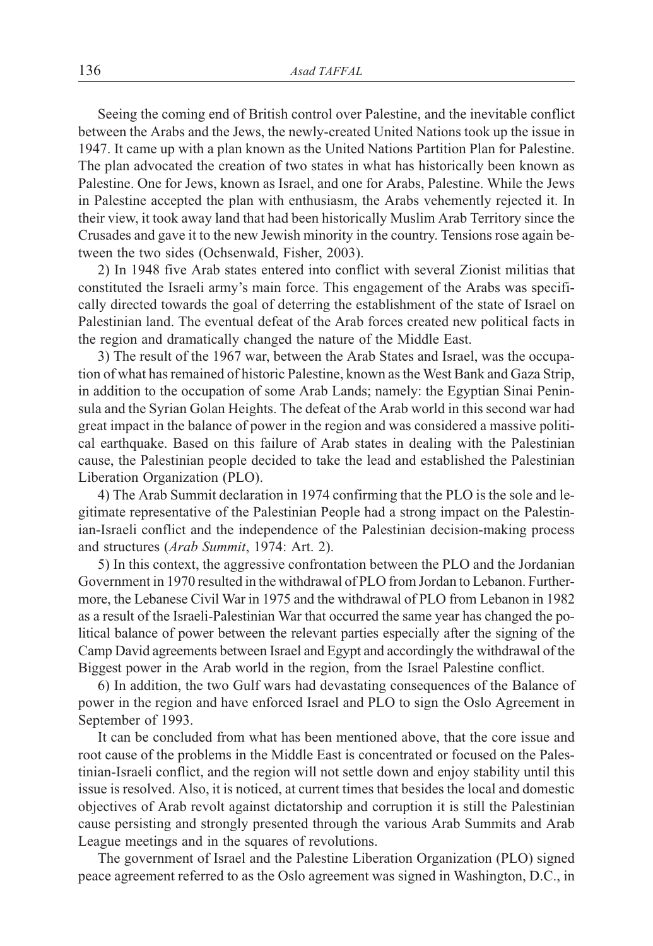Seeing the coming end of British control over Palestine, and the inevitable conflict between the Arabs and the Jews, the newly-created United Nations took up the issue in 1947. It came up with a plan known as the United Nations Partition Plan for Palestine. The plan advocated the creation of two states in what has historically been known as Palestine. One for Jews, known as Israel, and one for Arabs, Palestine. While the Jews in Palestine accepted the plan with enthusiasm, the Arabs vehemently rejected it. In their view, it took away land that had been historically Muslim Arab Territory since the Crusades and gave it to the new Jewish minority in the country. Tensions rose again between the two sides (Ochsenwald, Fisher, 2003).

2) In 1948 five Arab states entered into conflict with several Zionist militias that constituted the Israeli army's main force. This engagement of the Arabs was specifically directed towards the goal of deterring the establishment of the state of Israel on Palestinian land. The eventual defeat of the Arab forces created new political facts in the region and dramatically changed the nature of the Middle East.

3) The result of the 1967 war, between the Arab States and Israel, was the occupation of what has remained of historic Palestine, known as the West Bank and Gaza Strip, in addition to the occupation of some Arab Lands; namely: the Egyptian Sinai Peninsula and the Syrian Golan Heights. The defeat of the Arab world in this second war had great impact in the balance of power in the region and was considered a massive political earthquake. Based on this failure of Arab states in dealing with the Palestinian cause, the Palestinian people decided to take the lead and established the Palestinian Liberation Organization (PLO).

4) The Arab Summit declaration in 1974 confirming that the PLO is the sole and legitimate representative of the Palestinian People had a strong impact on the Palestinian-Israeli conflict and the independence of the Palestinian decision-making process and structures (*Arab Summit*, 1974: Art. 2).

5) In this context, the aggressive confrontation between the PLO and the Jordanian Government in 1970 resulted in the withdrawal of PLO from Jordan to Lebanon. Furthermore, the Lebanese Civil War in 1975 and the withdrawal of PLO from Lebanon in 1982 as a result of the Israeli-Palestinian War that occurred the same year has changed the political balance of power between the relevant parties especially after the signing of the Camp David agreements between Israel and Egypt and accordingly the withdrawal of the Biggest power in the Arab world in the region, from the Israel Palestine conflict.

6) In addition, the two Gulf wars had devastating consequences of the Balance of power in the region and have enforced Israel and PLO to sign the Oslo Agreement in September of 1993.

It can be concluded from what has been mentioned above, that the core issue and root cause of the problems in the Middle East is concentrated or focused on the Palestinian-Israeli conflict, and the region will not settle down and enjoy stability until this issue is resolved. Also, it is noticed, at current times that besides the local and domestic objectives of Arab revolt against dictatorship and corruption it is still the Palestinian cause persisting and strongly presented through the various Arab Summits and Arab League meetings and in the squares of revolutions.

The government of Israel and the Palestine Liberation Organization (PLO) signed peace agreement referred to as the Oslo agreement was signed in Washington, D.C., in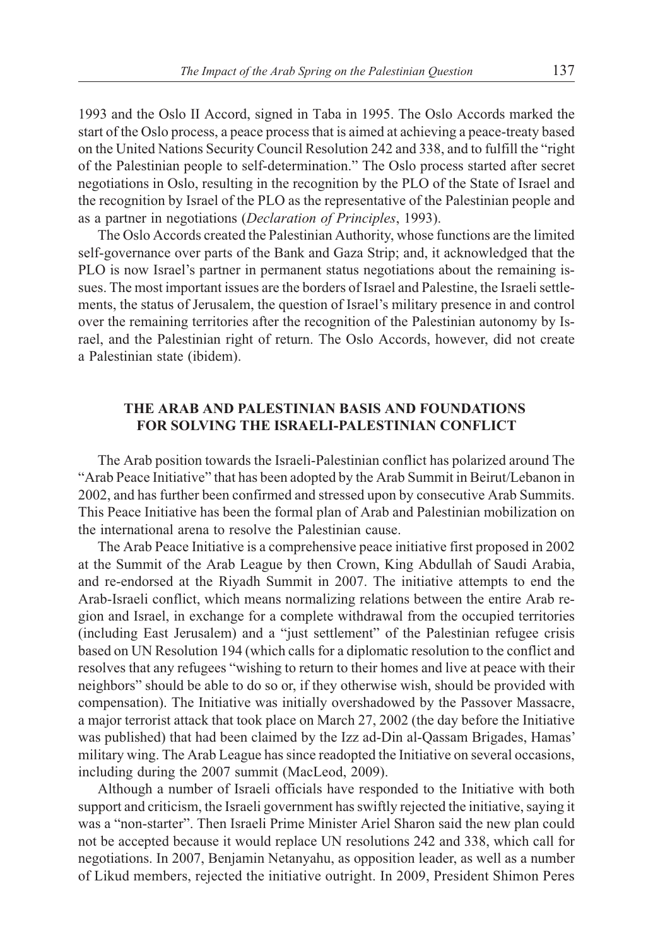1993 and the Oslo II Accord, signed in Taba in 1995. The Oslo Accords marked the start of the Oslo process, a peace process that is aimed at achieving a peace-treaty based on the United Nations Security Council Resolution 242 and 338, and to fulfill the "right of the Palestinian people to self-determination." The Oslo process started after secret negotiations in Oslo, resulting in the recognition by the PLO of the State of Israel and the recognition by Israel of the PLO as the representative of the Palestinian people and as a partner in negotiations (*Declaration of Principles*, 1993).

The Oslo Accords created the Palestinian Authority, whose functions are the limited self-governance over parts of the Bank and Gaza Strip; and, it acknowledged that the PLO is now Israel's partner in permanent status negotiations about the remaining issues. The most important issues are the borders of Israel and Palestine, the Israeli settlements, the status of Jerusalem, the question of Israel's military presence in and control over the remaining territories after the recognition of the Palestinian autonomy by Israel, and the Palestinian right of return. The Oslo Accords, however, did not create a Palestinian state (ibidem).

# **THE ARAB AND PALESTINIAN BASIS AND FOUNDATIONS FOR SOLVING THE ISRAELI-PALESTINIAN CONFLICT**

The Arab position towards the Israeli-Palestinian conflict has polarized around The "Arab Peace Initiative" that has been adopted by the Arab Summit in Beirut/Lebanon in 2002, and has further been confirmed and stressed upon by consecutive Arab Summits. This Peace Initiative has been the formal plan of Arab and Palestinian mobilization on the international arena to resolve the Palestinian cause.

The Arab Peace Initiative is a comprehensive peace initiative first proposed in 2002 at the Summit of the Arab League by then Crown, King Abdullah of Saudi Arabia, and re-endorsed at the Riyadh Summit in 2007. The initiative attempts to end the Arab-Israeli conflict, which means normalizing relations between the entire Arab region and Israel, in exchange for a complete withdrawal from the occupied territories (including East Jerusalem) and a "just settlement" of the Palestinian refugee crisis based on UN Resolution 194 (which calls for a diplomatic resolution to the conflict and resolves that any refugees "wishing to return to their homes and live at peace with their neighbors" should be able to do so or, if they otherwise wish, should be provided with compensation). The Initiative was initially overshadowed by the Passover Massacre, a major terrorist attack that took place on March 27, 2002 (the day before the Initiative was published) that had been claimed by the Izz ad-Din al-Qassam Brigades, Hamas' military wing. The Arab League has since readopted the Initiative on several occasions, including during the 2007 summit (MacLeod, 2009).

Although a number of Israeli officials have responded to the Initiative with both support and criticism, the Israeli government has swiftly rejected the initiative, saying it was a "non-starter". Then Israeli Prime Minister Ariel Sharon said the new plan could not be accepted because it would replace UN resolutions 242 and 338, which call for negotiations. In 2007, Benjamin Netanyahu, as opposition leader, as well as a number of Likud members, rejected the initiative outright. In 2009, President Shimon Peres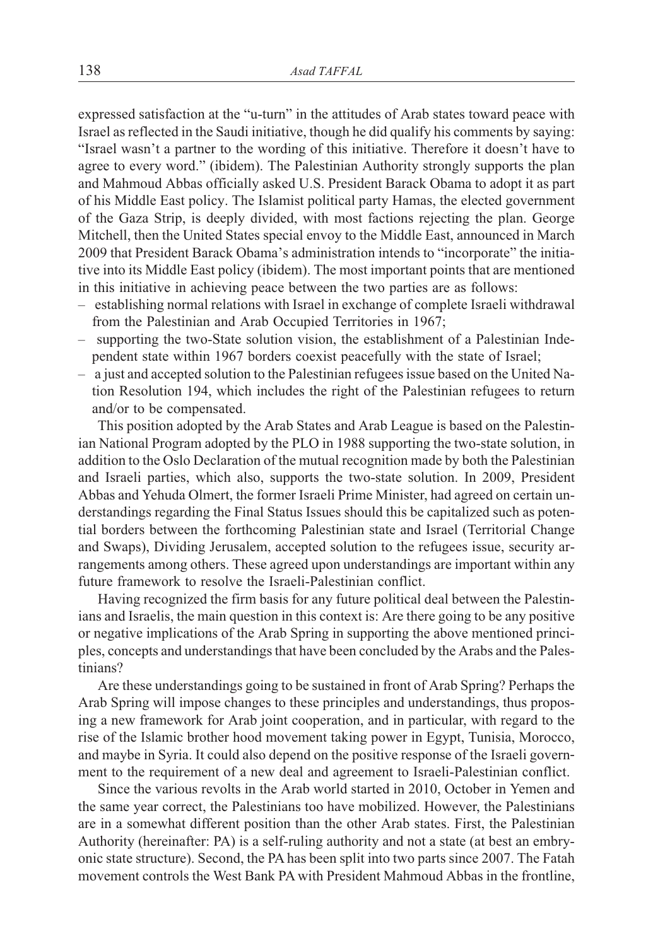expressed satisfaction at the "u-turn" in the attitudes of Arab states toward peace with Israel as reflected in the Saudi initiative, though he did qualify his comments by saying: "Israel wasn't a partner to the wording of this initiative. Therefore it doesn't have to agree to every word." (ibidem). The Palestinian Authority strongly supports the plan and Mahmoud Abbas officially asked U.S. President Barack Obama to adopt it as part of his Middle East policy. The Islamist political party Hamas, the elected government of the Gaza Strip, is deeply divided, with most factions rejecting the plan. George Mitchell, then the United States special envoy to the Middle East, announced in March 2009 that President Barack Obama's administration intends to "incorporate" the initiative into its Middle East policy (ibidem). The most important points that are mentioned in this initiative in achieving peace between the two parties are as follows:

- establishing normal relations with Israel in exchange of complete Israeli withdrawal from the Palestinian and Arab Occupied Territories in 1967;
- supporting the two-State solution vision, the establishment of a Palestinian Independent state within 1967 borders coexist peacefully with the state of Israel;
- a just and accepted solution to the Palestinian refugees issue based on the United Nation Resolution 194, which includes the right of the Palestinian refugees to return and/or to be compensated.

This position adopted by the Arab States and Arab League is based on the Palestinian National Program adopted by the PLO in 1988 supporting the two-state solution, in addition to the Oslo Declaration of the mutual recognition made by both the Palestinian and Israeli parties, which also, supports the two-state solution. In 2009, President Abbas and Yehuda Olmert, the former Israeli Prime Minister, had agreed on certain understandings regarding the Final Status Issues should this be capitalized such as potential borders between the forthcoming Palestinian state and Israel (Territorial Change and Swaps), Dividing Jerusalem, accepted solution to the refugees issue, security arrangements among others. These agreed upon understandings are important within any future framework to resolve the Israeli-Palestinian conflict.

Having recognized the firm basis for any future political deal between the Palestinians and Israelis, the main question in this context is: Are there going to be any positive or negative implications of the Arab Spring in supporting the above mentioned principles, concepts and understandings that have been concluded by the Arabs and the Palestinians?

Are these understandings going to be sustained in front of Arab Spring? Perhaps the Arab Spring will impose changes to these principles and understandings, thus proposing a new framework for Arab joint cooperation, and in particular, with regard to the rise of the Islamic brother hood movement taking power in Egypt, Tunisia, Morocco, and maybe in Syria. It could also depend on the positive response of the Israeli government to the requirement of a new deal and agreement to Israeli-Palestinian conflict.

Since the various revolts in the Arab world started in 2010, October in Yemen and the same year correct, the Palestinians too have mobilized. However, the Palestinians are in a somewhat different position than the other Arab states. First, the Palestinian Authority (hereinafter: PA) is a self-ruling authority and not a state (at best an embryonic state structure). Second, the PA has been split into two parts since 2007. The Fatah movement controls the West Bank PA with President Mahmoud Abbas in the frontline,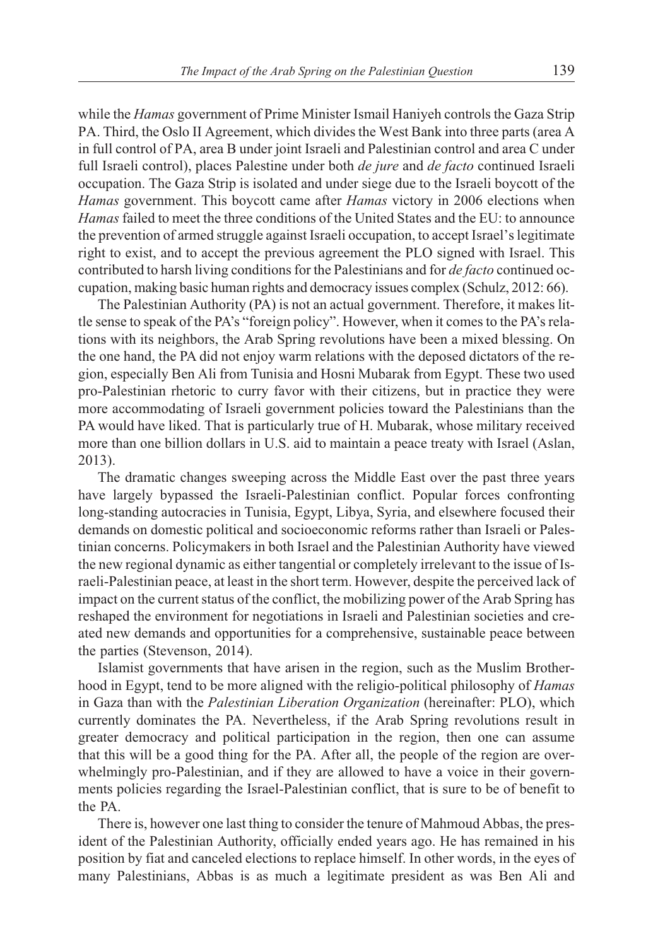while the *Hamas* government of Prime Minister Ismail Haniyeh controls the Gaza Strip PA. Third, the Oslo II Agreement, which divides the West Bank into three parts (area A in full control of PA, area B under joint Israeli and Palestinian control and area C under full Israeli control), places Palestine under both *de jure* and *de facto* continued Israeli occupation. The Gaza Strip is isolated and under siege due to the Israeli boycott of the *Hamas* government. This boycott came after *Hamas* victory in 2006 elections when *Hamas* failed to meet the three conditions of the United States and the EU: to announce the prevention of armed struggle against Israeli occupation, to accept Israel's legitimate right to exist, and to accept the previous agreement the PLO signed with Israel. This contributed to harsh living conditions for the Palestinians and for *de facto* continued occupation, making basic human rights and democracy issues complex (Schulz, 2012: 66).

The Palestinian Authority (PA) is not an actual government. Therefore, it makes little sense to speak of the PA's "foreign policy". However, when it comes to the PA's relations with its neighbors, the Arab Spring revolutions have been a mixed blessing. On the one hand, the PA did not enjoy warm relations with the deposed dictators of the region, especially Ben Ali from Tunisia and Hosni Mubarak from Egypt. These two used pro-Palestinian rhetoric to curry favor with their citizens, but in practice they were more accommodating of Israeli government policies toward the Palestinians than the PA would have liked. That is particularly true of H. Mubarak, whose military received more than one billion dollars in U.S. aid to maintain a peace treaty with Israel (Aslan, 2013).

The dramatic changes sweeping across the Middle East over the past three years have largely bypassed the Israeli-Palestinian conflict. Popular forces confronting long-standing autocracies in Tunisia, Egypt, Libya, Syria, and elsewhere focused their demands on domestic political and socioeconomic reforms rather than Israeli or Palestinian concerns. Policymakers in both Israel and the Palestinian Authority have viewed the new regional dynamic as either tangential or completely irrelevant to the issue of Israeli-Palestinian peace, at least in the short term. However, despite the perceived lack of impact on the current status of the conflict, the mobilizing power of the Arab Spring has reshaped the environment for negotiations in Israeli and Palestinian societies and created new demands and opportunities for a comprehensive, sustainable peace between the parties (Stevenson, 2014).

Islamist governments that have arisen in the region, such as the Muslim Brotherhood in Egypt, tend to be more aligned with the religio-political philosophy of *Hamas* in Gaza than with the *Palestinian Liberation Organization* (hereinafter: PLO), which currently dominates the PA. Nevertheless, if the Arab Spring revolutions result in greater democracy and political participation in the region, then one can assume that this will be a good thing for the PA. After all, the people of the region are overwhelmingly pro-Palestinian, and if they are allowed to have a voice in their governments policies regarding the Israel-Palestinian conflict, that is sure to be of benefit to the PA.

There is, however one last thing to consider the tenure of Mahmoud Abbas, the president of the Palestinian Authority, officially ended years ago. He has remained in his position by fiat and canceled elections to replace himself. In other words, in the eyes of many Palestinians, Abbas is as much a legitimate president as was Ben Ali and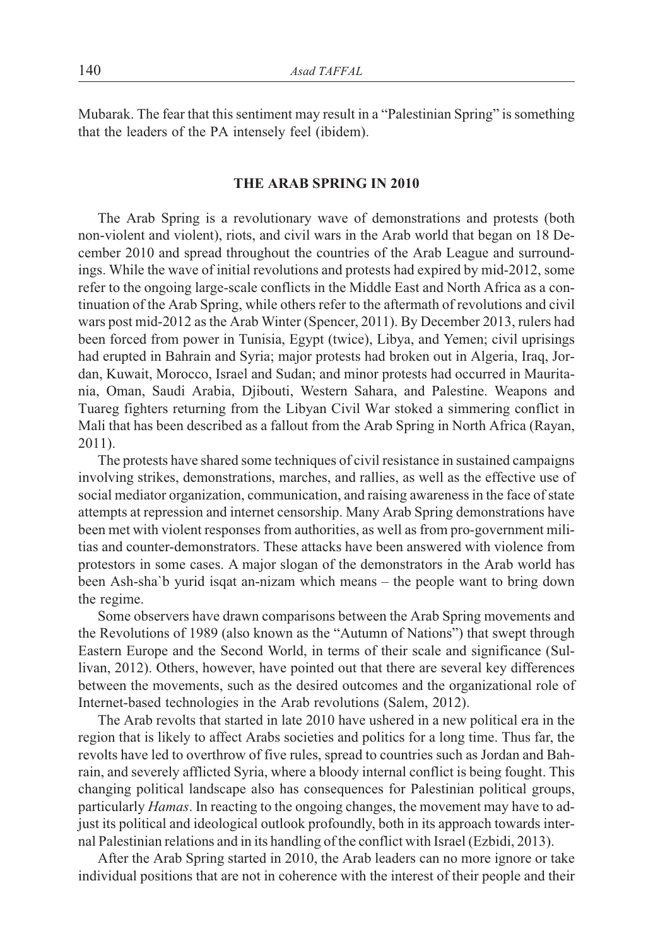Mubarak. The fear that this sentiment may result in a "Palestinian Spring" is something that the leaders of the PA intensely feel (ibidem).

#### THE ARAB SPRING IN 2010 **THE ARAB SPRING IN 2010**

The Arab Spring is a revolutionary wave of demonstrations and protests (both non-violent and violent), riots, and civil wars in the Arab world that began on 18 December 2010 and spread throughout the countries of the Arab League and surroundings. While the wave of initial revolutions and protests had expired by mid-2012, some refer to the ongoing large-scale conflicts in the Middle East and North Africa as a continuation of the Arab Spring, while others refer to the aftermath of revolutions and civil wars post mid-2012 as the Arab Winter (Spencer, 2011). By December 2013, rulers had been forced from power in Tunisia, Egypt (twice), Libya, and Yemen; civil uprisings had erupted in Bahrain and Syria; major protests had broken out in Algeria, Iraq, Jordan, Kuwait, Morocco, Israel and Sudan; and minor protests had occurred in Mauritania, Oman, Saudi Arabia, Djibouti, Western Sahara, and Palestine. Weapons and Tuareg fighters returning from the Libyan Civil War stoked a simmering conflict in Mali that has been described as a fallout from the Arab Spring in North Africa (Rayan, 2011).

The protests have shared some techniques of civil resistance in sustained campaigns involving strikes, demonstrations, marches, and rallies, as well as the effective use of social mediator organization, communication, and raising awareness in the face of state attempts at repression and internet censorship. Many Arab Spring demonstrations have been met with violent responses from authorities, as well as from pro-government militias and counter-demonstrators. These attacks have been answered with violence from protestors in some cases. A major slogan of the demonstrators in the Arab world has been Ash-sha`b yurid isqat an-nizam which means – the people want to bring down the regime.

Some observers have drawn comparisons between the Arab Spring movements and the Revolutions of 1989 (also known as the "Autumn of Nations") that swept through Eastern Europe and the Second World, in terms of their scale and significance (Sullivan, 2012). Others, however, have pointed out that there are several key differences between the movements, such as the desired outcomes and the organizational role of Internet-based technologies in the Arab revolutions (Salem, 2012).

The Arab revolts that started in late 2010 have ushered in a new political era in the region that is likely to affect Arabs societies and politics for a long time. Thus far, the revolts have led to overthrow of five rules, spread to countries such as Jordan and Bahrain, and severely afflicted Syria, where a bloody internal conflict is being fought. This changing political landscape also has consequences for Palestinian political groups, particularly *Hamas*. In reacting to the ongoing changes, the movement may have to adjust its political and ideological outlook profoundly, both in its approach towards internal Palestinian relations and in its handling of the conflict with Israel (Ezbidi, 2013).

After the Arab Spring started in 2010, the Arab leaders can no more ignore or take individual positions that are not in coherence with the interest of their people and their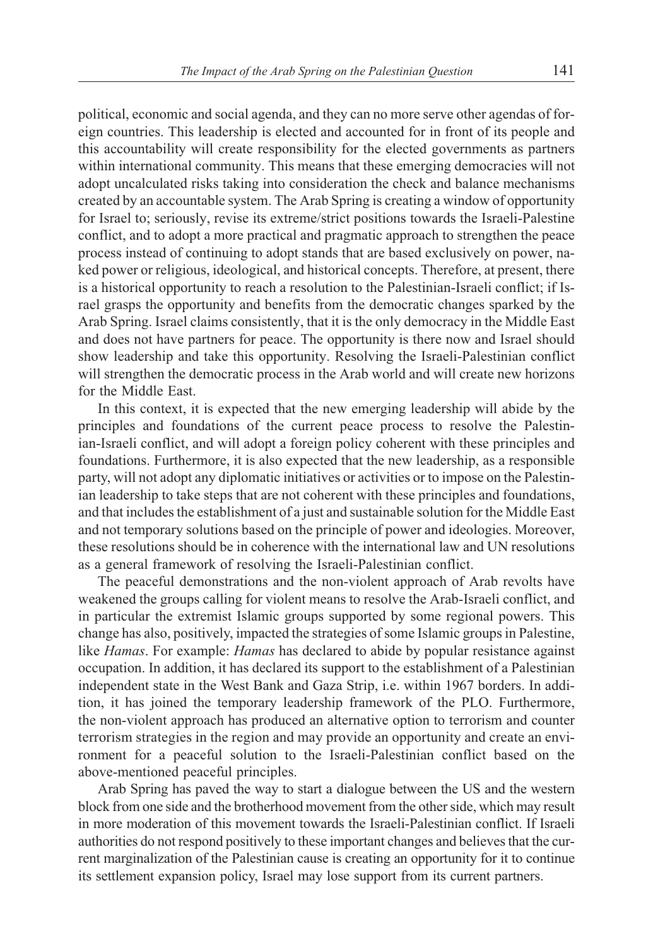political, economic and social agenda, and they can no more serve other agendas of foreign countries. This leadership is elected and accounted for in front of its people and this accountability will create responsibility for the elected governments as partners within international community. This means that these emerging democracies will not adopt uncalculated risks taking into consideration the check and balance mechanisms created by an accountable system. The Arab Spring is creating a window of opportunity for Israel to; seriously, revise its extreme/strict positions towards the Israeli-Palestine conflict, and to adopt a more practical and pragmatic approach to strengthen the peace process instead of continuing to adopt stands that are based exclusively on power, naked power or religious, ideological, and historical concepts. Therefore, at present, there is a historical opportunity to reach a resolution to the Palestinian-Israeli conflict; if Israel grasps the opportunity and benefits from the democratic changes sparked by the Arab Spring. Israel claims consistently, that it is the only democracy in the Middle East and does not have partners for peace. The opportunity is there now and Israel should show leadership and take this opportunity. Resolving the Israeli-Palestinian conflict will strengthen the democratic process in the Arab world and will create new horizons for the Middle East.

In this context, it is expected that the new emerging leadership will abide by the principles and foundations of the current peace process to resolve the Palestinian-Israeli conflict, and will adopt a foreign policy coherent with these principles and foundations. Furthermore, it is also expected that the new leadership, as a responsible party, will not adopt any diplomatic initiatives or activities or to impose on the Palestinian leadership to take steps that are not coherent with these principles and foundations, and that includes the establishment of a just and sustainable solution for the Middle East and not temporary solutions based on the principle of power and ideologies. Moreover, these resolutions should be in coherence with the international law and UN resolutions as a general framework of resolving the Israeli-Palestinian conflict.

The peaceful demonstrations and the non-violent approach of Arab revolts have weakened the groups calling for violent means to resolve the Arab-Israeli conflict, and in particular the extremist Islamic groups supported by some regional powers. This change has also, positively, impacted the strategies of some Islamic groups in Palestine, like *Hamas*. For example: *Hamas* has declared to abide by popular resistance against occupation. In addition, it has declared its support to the establishment of a Palestinian independent state in the West Bank and Gaza Strip, i.e. within 1967 borders. In addition, it has joined the temporary leadership framework of the PLO. Furthermore, the non-violent approach has produced an alternative option to terrorism and counter terrorism strategies in the region and may provide an opportunity and create an environment for a peaceful solution to the Israeli-Palestinian conflict based on the above-mentioned peaceful principles.

Arab Spring has paved the way to start a dialogue between the US and the western block from one side and the brotherhood movement from the other side, which may result in more moderation of this movement towards the Israeli-Palestinian conflict. If Israeli authorities do not respond positively to these important changes and believes that the current marginalization of the Palestinian cause is creating an opportunity for it to continue its settlement expansion policy, Israel may lose support from its current partners.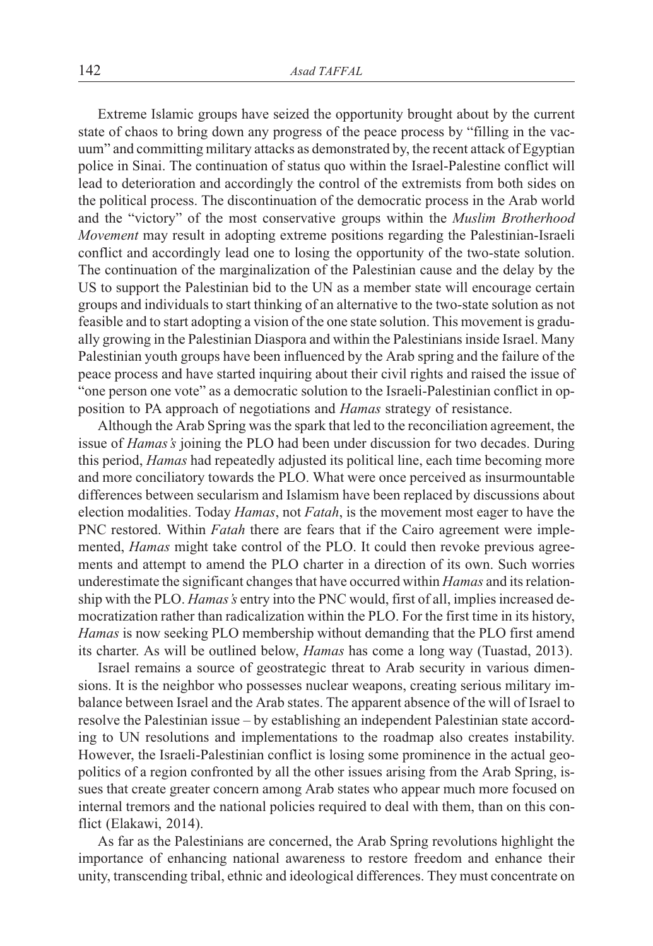Extreme Islamic groups have seized the opportunity brought about by the current state of chaos to bring down any progress of the peace process by "filling in the vacuum" and committing military attacks as demonstrated by, the recent attack of Egyptian police in Sinai. The continuation of status quo within the Israel-Palestine conflict will lead to deterioration and accordingly the control of the extremists from both sides on the political process. The discontinuation of the democratic process in the Arab world and the "victory" of the most conservative groups within the *Muslim Brotherhood Movement* may result in adopting extreme positions regarding the Palestinian-Israeli conflict and accordingly lead one to losing the opportunity of the two-state solution. The continuation of the marginalization of the Palestinian cause and the delay by the US to support the Palestinian bid to the UN as a member state will encourage certain groups and individuals to start thinking of an alternative to the two-state solution as not feasible and to start adopting a vision of the one state solution. This movement is gradually growing in the Palestinian Diaspora and within the Palestinians inside Israel. Many Palestinian youth groups have been influenced by the Arab spring and the failure of the peace process and have started inquiring about their civil rights and raised the issue of "one person one vote" as a democratic solution to the Israeli-Palestinian conflict in opposition to PA approach of negotiations and *Hamas* strategy of resistance.

Although the Arab Spring was the spark that led to the reconciliation agreement, the issue of *Hamas's* joining the PLO had been under discussion for two decades. During this period, *Hamas* had repeatedly adjusted its political line, each time becoming more and more conciliatory towards the PLO. What were once perceived as insurmountable differences between secularism and Islamism have been replaced by discussions about election modalities. Today *Hamas*, not *Fatah*, is the movement most eager to have the PNC restored. Within *Fatah* there are fears that if the Cairo agreement were implemented, *Hamas* might take control of the PLO. It could then revoke previous agreements and attempt to amend the PLO charter in a direction of its own. Such worries underestimate the significant changes that have occurred within *Hamas* and its relationship with the PLO. *Hamas's* entry into the PNC would, first of all, implies increased democratization rather than radicalization within the PLO. For the first time in its history, *Hamas* is now seeking PLO membership without demanding that the PLO first amend its charter. As will be outlined below, *Hamas* has come a long way (Tuastad, 2013).

Israel remains a source of geostrategic threat to Arab security in various dimensions. It is the neighbor who possesses nuclear weapons, creating serious military imbalance between Israel and the Arab states. The apparent absence of the will of Israel to resolve the Palestinian issue – by establishing an independent Palestinian state according to UN resolutions and implementations to the roadmap also creates instability. However, the Israeli-Palestinian conflict is losing some prominence in the actual geopolitics of a region confronted by all the other issues arising from the Arab Spring, issues that create greater concern among Arab states who appear much more focused on internal tremors and the national policies required to deal with them, than on this conflict (Elakawi, 2014).

As far as the Palestinians are concerned, the Arab Spring revolutions highlight the importance of enhancing national awareness to restore freedom and enhance their unity, transcending tribal, ethnic and ideological differences. They must concentrate on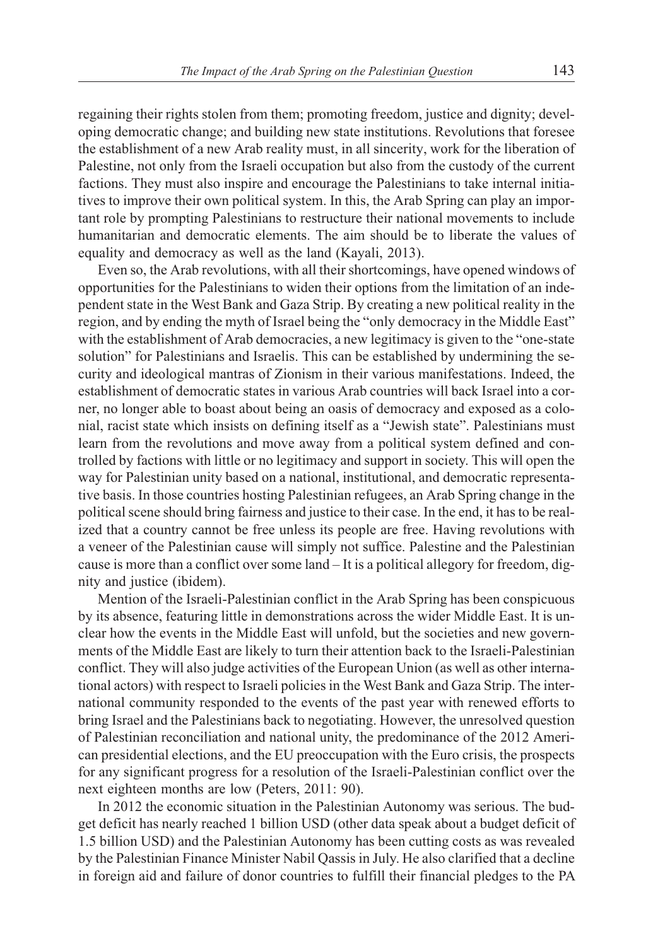regaining their rights stolen from them; promoting freedom, justice and dignity; developing democratic change; and building new state institutions. Revolutions that foresee the establishment of a new Arab reality must, in all sincerity, work for the liberation of Palestine, not only from the Israeli occupation but also from the custody of the current factions. They must also inspire and encourage the Palestinians to take internal initiatives to improve their own political system. In this, the Arab Spring can play an important role by prompting Palestinians to restructure their national movements to include humanitarian and democratic elements. The aim should be to liberate the values of equality and democracy as well as the land (Kayali, 2013).

Even so, the Arab revolutions, with all their shortcomings, have opened windows of opportunities for the Palestinians to widen their options from the limitation of an independent state in the West Bank and Gaza Strip. By creating a new political reality in the region, and by ending the myth of Israel being the "only democracy in the Middle East" with the establishment of Arab democracies, a new legitimacy is given to the "one-state solution" for Palestinians and Israelis. This can be established by undermining the security and ideological mantras of Zionism in their various manifestations. Indeed, the establishment of democratic states in various Arab countries will back Israel into a corner, no longer able to boast about being an oasis of democracy and exposed as a colonial, racist state which insists on defining itself as a "Jewish state". Palestinians must learn from the revolutions and move away from a political system defined and controlled by factions with little or no legitimacy and support in society. This will open the way for Palestinian unity based on a national, institutional, and democratic representative basis. In those countries hosting Palestinian refugees, an Arab Spring change in the political scene should bring fairness and justice to their case. In the end, it has to be realized that a country cannot be free unless its people are free. Having revolutions with a veneer of the Palestinian cause will simply not suffice. Palestine and the Palestinian cause is more than a conflict over some land – It is a political allegory for freedom, dignity and justice (ibidem).

Mention of the Israeli-Palestinian conflict in the Arab Spring has been conspicuous by its absence, featuring little in demonstrations across the wider Middle East. It is unclear how the events in the Middle East will unfold, but the societies and new governments of the Middle East are likely to turn their attention back to the Israeli-Palestinian conflict. They will also judge activities of the European Union (as well as other international actors) with respect to Israeli policies in the West Bank and Gaza Strip. The international community responded to the events of the past year with renewed efforts to bring Israel and the Palestinians back to negotiating. However, the unresolved question of Palestinian reconciliation and national unity, the predominance of the 2012 American presidential elections, and the EU preoccupation with the Euro crisis, the prospects for any significant progress for a resolution of the Israeli-Palestinian conflict over the next eighteen months are low (Peters, 2011: 90).

In 2012 the economic situation in the Palestinian Autonomy was serious. The budget deficit has nearly reached 1 billion USD (other data speak about a budget deficit of 1.5 billion USD) and the Palestinian Autonomy has been cutting costs as was revealed by the Palestinian Finance Minister Nabil Qassis in July. He also clarified that a decline in foreign aid and failure of donor countries to fulfill their financial pledges to the PA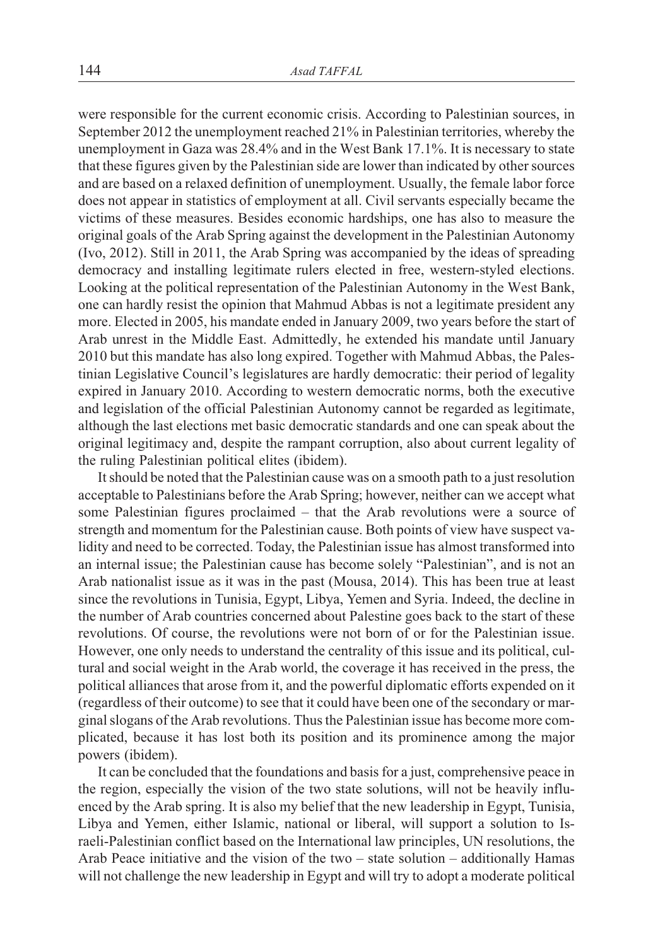were responsible for the current economic crisis. According to Palestinian sources, in September 2012 the unemployment reached 21% in Palestinian territories, whereby the unemployment in Gaza was 28.4% and in the West Bank 17.1%. It is necessary to state that these figures given by the Palestinian side are lower than indicated by other sources and are based on a relaxed definition of unemployment. Usually, the female labor force does not appear in statistics of employment at all. Civil servants especially became the victims of these measures. Besides economic hardships, one has also to measure the original goals of the Arab Spring against the development in the Palestinian Autonomy (Ivo, 2012). Still in 2011, the Arab Spring was accompanied by the ideas of spreading democracy and installing legitimate rulers elected in free, western-styled elections. Looking at the political representation of the Palestinian Autonomy in the West Bank, one can hardly resist the opinion that Mahmud Abbas is not a legitimate president any more. Elected in 2005, his mandate ended in January 2009, two years before the start of Arab unrest in the Middle East. Admittedly, he extended his mandate until January 2010 but this mandate has also long expired. Together with Mahmud Abbas, the Palestinian Legislative Council's legislatures are hardly democratic: their period of legality expired in January 2010. According to western democratic norms, both the executive and legislation of the official Palestinian Autonomy cannot be regarded as legitimate, although the last elections met basic democratic standards and one can speak about the original legitimacy and, despite the rampant corruption, also about current legality of the ruling Palestinian political elites (ibidem).

It should be noted that the Palestinian cause was on a smooth path to a just resolution acceptable to Palestinians before the Arab Spring; however, neither can we accept what some Palestinian figures proclaimed – that the Arab revolutions were a source of strength and momentum for the Palestinian cause. Both points of view have suspect validity and need to be corrected. Today, the Palestinian issue has almost transformed into an internal issue; the Palestinian cause has become solely "Palestinian", and is not an Arab nationalist issue as it was in the past (Mousa, 2014). This has been true at least since the revolutions in Tunisia, Egypt, Libya, Yemen and Syria. Indeed, the decline in the number of Arab countries concerned about Palestine goes back to the start of these revolutions. Of course, the revolutions were not born of or for the Palestinian issue. However, one only needs to understand the centrality of this issue and its political, cultural and social weight in the Arab world, the coverage it has received in the press, the political alliances that arose from it, and the powerful diplomatic efforts expended on it (regardless of their outcome) to see that it could have been one of the secondary or marginal slogans of the Arab revolutions. Thus the Palestinian issue has become more complicated, because it has lost both its position and its prominence among the major powers (ibidem).

It can be concluded that the foundations and basis for a just, comprehensive peace in the region, especially the vision of the two state solutions, will not be heavily influenced by the Arab spring. It is also my belief that the new leadership in Egypt, Tunisia, Libya and Yemen, either Islamic, national or liberal, will support a solution to Israeli-Palestinian conflict based on the International law principles, UN resolutions, the Arab Peace initiative and the vision of the two – state solution – additionally Hamas will not challenge the new leadership in Egypt and will try to adopt a moderate political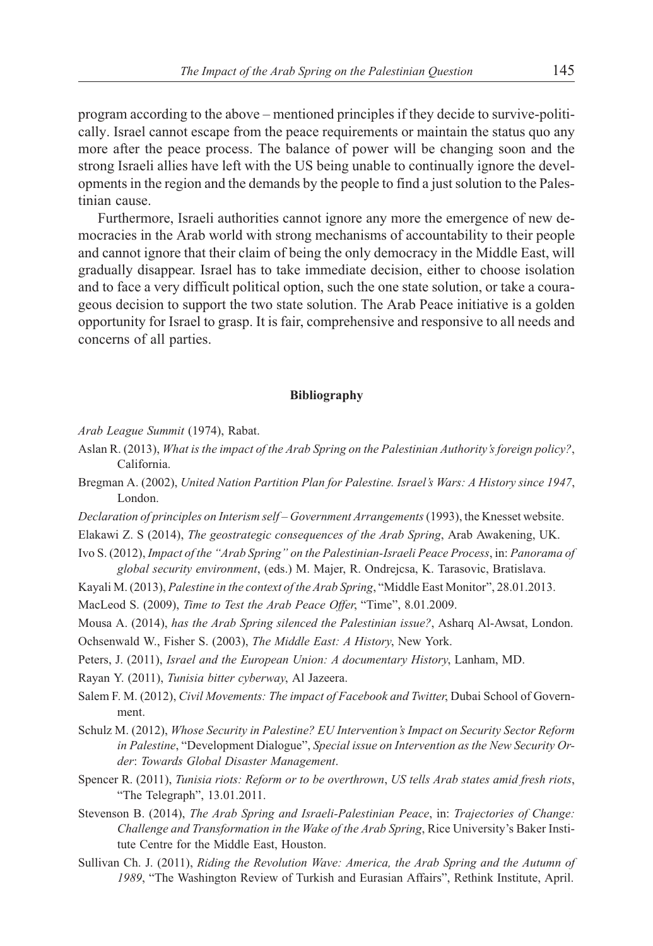program according to the above – mentioned principles if they decide to survive-politically. Israel cannot escape from the peace requirements or maintain the status quo any more after the peace process. The balance of power will be changing soon and the strong Israeli allies have left with the US being unable to continually ignore the developments in the region and the demands by the people to find a just solution to the Palestinian cause.

Furthermore, Israeli authorities cannot ignore any more the emergence of new democracies in the Arab world with strong mechanisms of accountability to their people and cannot ignore that their claim of being the only democracy in the Middle East, will gradually disappear. Israel has to take immediate decision, either to choose isolation and to face a very difficult political option, such the one state solution, or take a courageous decision to support the two state solution. The Arab Peace initiative is a golden opportunity for Israel to grasp. It is fair, comprehensive and responsive to all needs and concerns of all parties.

#### **Bibliography**

*Arab League Summit* (1974), Rabat.

- Aslan R. (2013), *What is the impact of the Arab Spring on the Palestinian Authority's foreign policy?*, California.
- Bregman A. (2002), *United Nation Partition Plan for Palestine. Israel's Wars: A History since 1947*, London.
- *Declaration of principles on Interism self Government Arrangements*(1993), the Knesset website.

Elakawi Z. S (2014), *The geostrategic consequences of the Arab Spring*, Arab Awakening, UK.

- Ivo S. (2012), *Impact of the "Arab Spring" on the Palestinian-Israeli Peace Process*, in: *Panorama of global security environment*, (eds.) M. Majer, R. Ondrejcsa, K. Tarasovic, Bratislava.
- Kayali M. (2013), *Palestine in the context of the Arab Spring*, "Middle East Monitor", 28.01.2013.

MacLeod S. (2009), *Time to Test the Arab Peace Offer*, "Time", 8.01.2009.

Mousa A. (2014), *has the Arab Spring silenced the Palestinian issue?*, Asharq Al-Awsat, London.

Ochsenwald W., Fisher S. (2003), *The Middle East: A History*, New York.

Peters, J. (2011), *Israel and the European Union: A documentary History*, Lanham, MD.

Rayan Y. (2011), *Tunisia bitter cyberway*, Al Jazeera.

- Salem F. M. (2012), *Civil Movements: The impact of Facebook and Twitter*, Dubai School of Government.
- Schulz M. (2012), *Whose Security in Palestine? EU Intervention's Impact on Security Sector Reform in Palestine*, "Development Dialogue", *Special issue on Intervention as the New Security Order*: *Towards Global Disaster Management*.
- Spencer R. (2011), *Tunisia riots: Reform or to be overthrown*, *US tells Arab states amid fresh riots*, "The Telegraph", 13.01.2011.
- Stevenson B. (2014), *The Arab Spring and Israeli-Palestinian Peace*, in: *Trajectories of Change: Challenge and Transformation in the Wake of the Arab Spring*, Rice University's Baker Institute Centre for the Middle East, Houston.
- Sullivan Ch. J. (2011), *Riding the Revolution Wave: America, the Arab Spring and the Autumn of 1989*, "The Washington Review of Turkish and Eurasian Affairs", Rethink Institute, April.